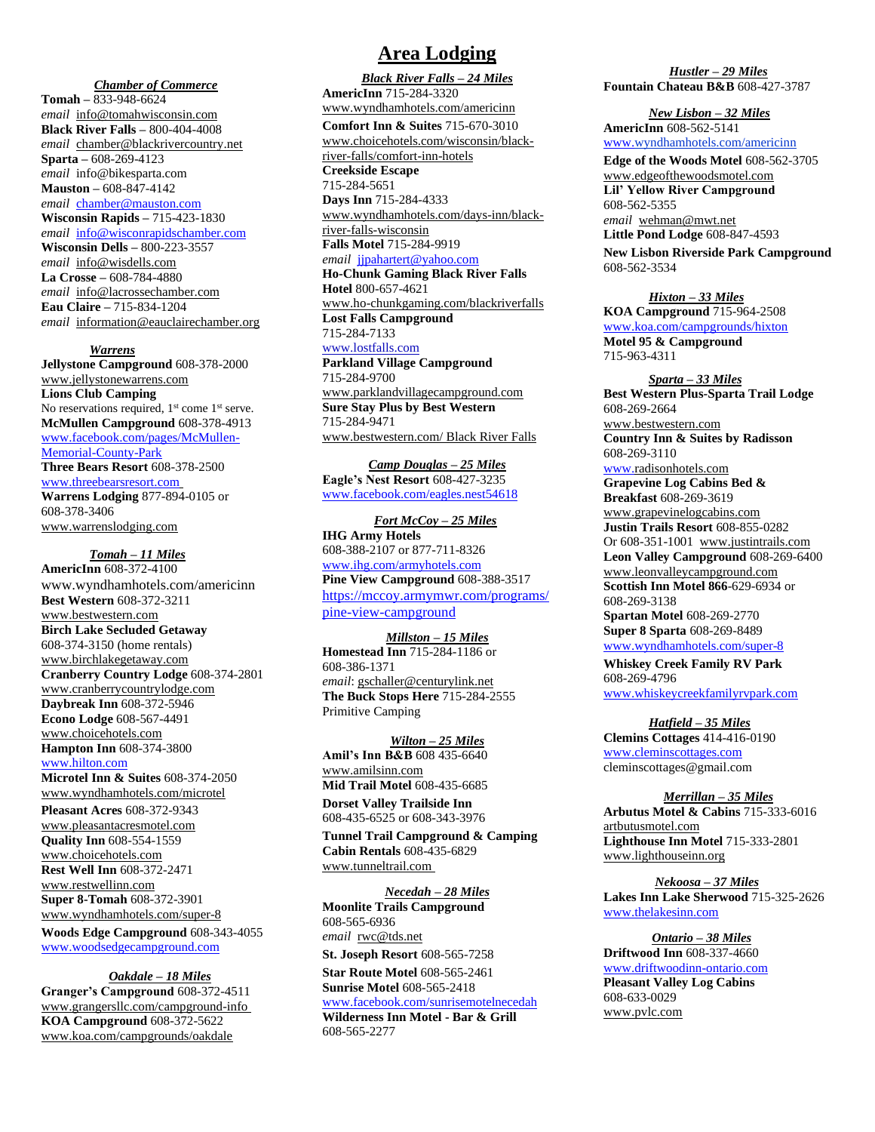### *Chamber of Commerce*

**Tomah –** 833-948-6624 *email* [info@tomahwisconsin.com](mailto:info@tomahwisconsin.com) **Black River Falls –** 800-404-4008 *email* [chamber@blackrivercountry.net](mailto:chamber@blackrivercountry.net) **Sparta –** 608-269-4123 *email* info@bikesparta.com **Mauston –** 608-847-4142 *email* [chamber@mauston.com](mailto:chamber@mauston.com) **Wisconsin Rapids –** 715-423-1830 *email* [info@wisconrapidschamber.com](mailto:info@wisconrapidschamber.com) **Wisconsin Dells –** 800-223-3557 *email* [info@wisdells.com](mailto:info@wisdells.com) **La Crosse –** 608-784-4880 *email* [info@lacrossechamber.com](mailto:info@lacrossechamber.com) **Eau Claire –** 715-834-1204 *email* [information@eauclairechamber.org](mailto:information@eauclairechamber.org)

 *Warrens*

**Jellystone Campground** 608-378-2000 [www.jellystonewarrens.com](http://www.jellystonewarrens.com/) **Lions Club Camping** No reservations required,  $1<sup>st</sup>$  come  $1<sup>st</sup>$  serve. **McMullen Campground** 608-378-4913 [www.facebook.com/pages/McMullen-](http://www.facebook.com/pages/McMullen-Memorial-County-Park)[Memorial-County-Park](http://www.facebook.com/pages/McMullen-Memorial-County-Park) **Three Bears Resort** 608-378-2500 [www.threebearsresort.com](http://www.threebearsresort.com/) **Warrens Lodging** 877-894-0105 or 608-378-3406 [www.warrenslodging.com](http://www.warrenslodging.com/)

 *Tomah – 11 Miles* **AmericInn** 608-372-4100 www.wyndhamhotels.com/americinn **Best Western** 608-372-3211 [www.bestwestern.com](http://www.bestwestern.com/) **Birch Lake Secluded Getaway** 608-374-3150 (home rentals) [www.birchlakegetaway.com](http://www.birchlakegetaway.com/) **Cranberry Country Lodge** 608-374-2801 [www.cranberrycountrylodge.com](http://www.cranberrycountrylodge.com/) **Daybreak Inn** 608-372-5946 **Econo Lodge** 608-567-4491 [www.choicehotels.com](http://www.choicehotels.com/) **Hampton Inn** 608-374-3800 [www.hilton.com](http://www.hilton.com/) **Microtel Inn & Suites** 608-374-2050 www.wyndhamhotels.com/microtel **Pleasant Acres** 608-372-9343

[www.pleasantacresmotel.com](http://www.pleasantacresmotel.com/) **Quality Inn** 608-554-1559 [www.choicehotels.com](http://www.choicehotels.com/) **Rest Well Inn** 608-372-2471 [www.restwellinn.com](http://www.restwellinn.com/) **Super 8-Tomah** 608-372-3901 www.wyndhamhotels.com/super-8

**Woods Edge Campground** 608-343-4055 [www.woodsedgecampground.com](http://www.woodsedgecampground.com/)

 *Oakdale – 18 Miles*

**Granger's Campground** 608-372-4511 ww[w.grangersllc.c](mailto:grangersllc@centurytel.net)om/campground-info **KOA Campground** 608-372-5622 [www.koa.com/campgrounds/oakdale](http://www.koa.com/campgrounds/oakdale)

## **Area Lodging**

*Black River Falls – 24 Miles* **AmericInn** 715-284-3320 www.wyndhamhotels.com/americinn **Comfort Inn & Suites** 715-670-3010 www.choicehotels.com/wisconsin/blackriver-falls/comfort-inn-hotels **Creekside Escape** 715-284-5651 **Days Inn** 715-284-4333 www.wyndhamhotels.com/days-inn/blackriver-falls-wisconsin **Falls Motel** 715-284-9919 *email* [jjpahartert@yahoo.com](mailto:jjpahartert@yahoo.com) **Ho-Chunk Gaming Black River Falls Hotel** 800-657-4621 [www.ho-chunkgaming.com/blackriverfalls](http://www.ho-chunkgaming.com/blackriverfalls) **Lost Falls Campground** 715-284-7133 www.lostfalls.com **Parkland Village Campground** 715-284-9700 [www.parklandvillagecampground.com](http://www.parklandvillagecampground.com/) **Sure Stay Plus by Best Western**  715-284-9471 [www.bestwestern.com/](http://www.bestwestern.com/) Black River Falls

*Camp Douglas – 25 Miles* **Eagle's Nest Resort** 608-427-3235 [www.facebook.com/eagles.nest5](http://www.facebook.com/eagles.nest)4618

 *Fort McCoy – 25 Miles* **IHG Army Hotels** 608-388-2107 or 877-711-8326 [www.ihg.com/armyhotels.com](http://www.ihg.com/armyhotels.com) **Pine View Campground** 608-388-3517 [https://mccoy.armymwr.com/programs/](https://mccoy.armymwr.com/programs/pine-view-campground) [pine-view-campground](https://mccoy.armymwr.com/programs/pine-view-campground)

*Millston – 15 Miles* **Homestead Inn** 715-284-1186 or 608-386-1371 *email*[: gschaller@centurylink.net](mailto:gschaller@centurylink.net) **The Buck Stops Here** 715-284-2555 Primitive Camping

*Wilton – 25 Miles* **Amil's Inn B&B** 608 435-6640 [www.amilsinn.com](http://www.amilsinn.com/) **Mid Trail Motel** 608-435-6685 **Dorset Valley Trailside Inn** 608-435-6525 or 608-343-3976

**Tunnel Trail Campground & Camping Cabin Rentals** 608-435-6829 [www.tunneltrail.com](http://www.tunneltrail.com/)

*Necedah – 28 Miles* **Moonlite Trails Campground** 608-565-6936 *email* [rwc@tds.net](mailto:rwc@tds.net) **St. Joseph Resort** 608-565-7258 **Star Route Motel** 608-565-2461 **Sunrise Motel** 608-565-2418 [www.facebook.com/sunrisemotelnecedah](http://www.facebook.com/sunrisemotelnecedah) **Wilderness Inn Motel - Bar & Grill** 608-565-2277

*Hustler – 29 Miles* **Fountain Chateau B&B** 608-427-3787

 *New Lisbon – 32 Miles* **AmericInn** 608-562-5141 [www.w](http://www./)yndhamhotels.com/americinn

**Edge of the Woods Motel** 608-562-3705 www.edgeofthewoodsmotel.com **Lil' Yellow River Campground**  608-562-5355 *email* [wehman@mwt.net](mailto:wehman@mwt.net) **Little Pond Lodge** 608-847-4593

**New Lisbon Riverside Park Campground** 608-562-3534

 *Hixton – 33 Miles*

**KOA Campground** 715-964-2508 [www.koa.com/campgrounds/hixton](http://www.koa.com/campgrounds/hixton) **Motel 95 & Campground** 715-963-4311

 *Sparta – 33 Miles* **Best Western Plus-Sparta Trail Lodge** 608-269-2664 [www.bestwestern.com](http://www.bestwestern.com/) **Country Inn & Suites by Radisson** 608-269-3110 [www.r](http://www./)adisonhotels.com **Grapevine Log Cabins Bed & Breakfast** 608-269-3619 [www.grapevinelogcabins.com](http://www.grapevinelogcabins.com/) **Justin Trails Resort** 608-855-0282 Or 608-351-1001 [www.justintrails.com](http://www.justintrails.com/) **Leon Valley Campground** 608-269-6400 [www.leonvalleycampground.com](http://www.leonvalleycampground.com/) **Scottish Inn Motel 866**-629-6934 or 608-269-3138 **Spartan Motel** 608-269-2770 **Super 8 Sparta** 608-269-8489 [www.wyndhamhotels.com/super-8](http://www.wyndhamhotels.com/super-8)

**Whiskey Creek Family RV Park** 608-269-4796 www.whiskeycreekfamilyrvpark.com

 *Hatfield – 35 Miles*

**Clemins Cottages** 414-416-0190 [www.cleminscottages.com](http://www.cleminscottages.com/) cleminscottages@gmail.com

*Merrillan – 35 Miles* **Arbutus Motel & Cabins** 715-333-6016 artbutusmotel.com **Lighthouse Inn Motel** 715-333-2801 [www.lighthouseinn.org](http://www.lighthouseinn.org/)

 *Nekoosa – 37 Miles* **Lakes Inn Lake Sherwood** 715-325-2626 www.thelakesinn.com 

 *Ontario – 38 Miles* **Driftwood Inn** 608-337-4660 [www.driftwoodinn-ontario.com](http://www.driftwoodinn-ontario.com/) **Pleasant Valley Log Cabins** 608-633-0029 [www.pvlc.com](http://www.pvlc.com/)